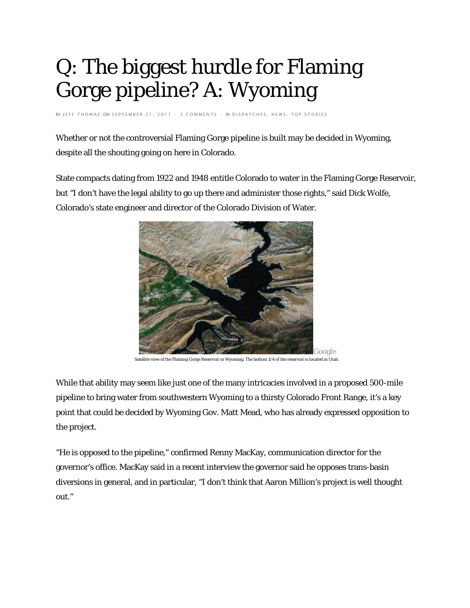## Q: The biggest hurdle for Flaming Gorge pipeline? A: Wyoming

BY [JEFF THOMAS](http://www.northfortynews.com/author/jeff-thomas/) ON SEPTEMBER 21, 2011 [· 3 COMMENTS](http://www.northfortynews.com/q-biggest-hurdle-flaming-gorge-pipeline-a-wyoming/#comments) · IN [DISPATCHES](http://www.northfortynews.com/category/news/dispatches/)[, NEWS](http://www.northfortynews.com/category/news/)[, TOP STORIES](http://www.northfortynews.com/category/news/top-stories/)

Whether or not the controversial Flaming Gorge pipeline is built may be decided in Wyoming, despite all the shouting going on here in Colorado.

State compacts dating from 1922 and 1948 entitle Colorado to water in the Flaming Gorge Reservoir, but "I don't have the legal ability to go up there and administer those rights," said Dick Wolfe, Colorado's state engineer and director of the Colorado Division of Water.



Satellite view of the Flaming Gorge Reservoir in Wyoming. The bottom 1/4 of the reservoir is located in Utah.

While that ability may seem like just one of the many intricacies involved in a proposed 500-mile pipeline to bring water from southwestern Wyoming to a thirsty Colorado Front Range, it's a key point that could be decided by Wyoming Gov. Matt Mead, who has already expressed opposition to the project.

"He is opposed to the pipeline," confirmed Renny MacKay, communication director for the governor's office. MacKay said in a recent interview the governor said he opposes trans-basin diversions in general, and in particular, "I don't think that Aaron Million's project is well thought out."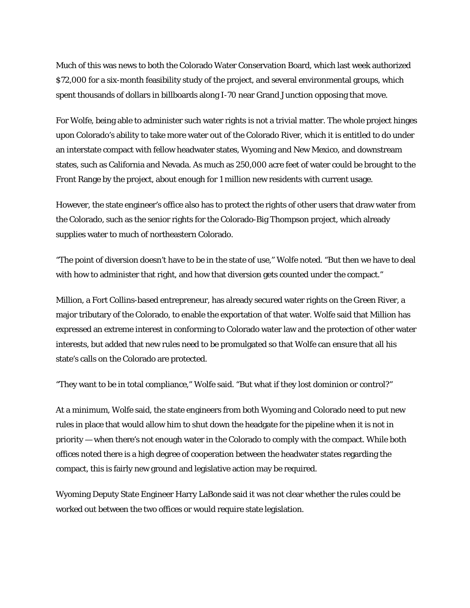Much of this was news to both the Colorado Water Conservation Board, which last week authorized \$72,000 for a six-month feasibility study of the project, and several environmental groups, which spent thousands of dollars in billboards along I-70 near Grand Junction opposing that move.

For Wolfe, being able to administer such water rights is not a trivial matter. The whole project hinges upon Colorado's ability to take more water out of the Colorado River, which it is entitled to do under an interstate compact with fellow headwater states, Wyoming and New Mexico, and downstream states, such as California and Nevada. As much as 250,000 acre feet of water could be brought to the Front Range by the project, about enough for 1 million new residents with current usage.

However, the state engineer's office also has to protect the rights of other users that draw water from the Colorado, such as the senior rights for the Colorado-Big Thompson project, which already supplies water to much of northeastern Colorado.

"The point of diversion doesn't have to be in the state of use," Wolfe noted. "But then we have to deal with how to administer that right, and how that diversion gets counted under the compact."

Million, a Fort Collins-based entrepreneur, has already secured water rights on the Green River, a major tributary of the Colorado, to enable the exportation of that water. Wolfe said that Million has expressed an extreme interest in conforming to Colorado water law and the protection of other water interests, but added that new rules need to be promulgated so that Wolfe can ensure that all his state's calls on the Colorado are protected.

"They want to be in total compliance," Wolfe said. "But what if they lost dominion or control?"

At a minimum, Wolfe said, the state engineers from both Wyoming and Colorado need to put new rules in place that would allow him to shut down the headgate for the pipeline when it is not in priority — when there's not enough water in the Colorado to comply with the compact. While both offices noted there is a high degree of cooperation between the headwater states regarding the compact, this is fairly new ground and legislative action may be required.

Wyoming Deputy State Engineer Harry LaBonde said it was not clear whether the rules could be worked out between the two offices or would require state legislation.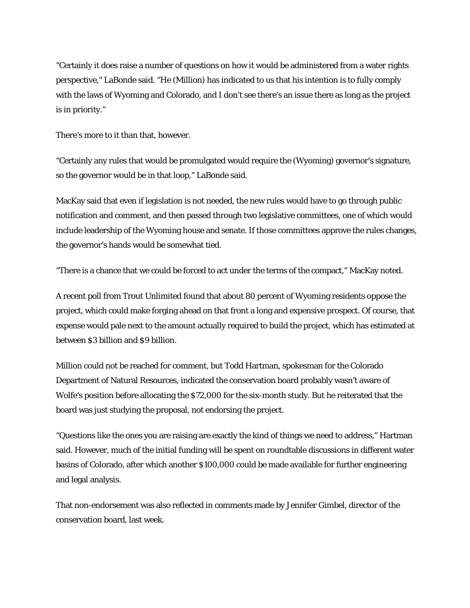"Certainly it does raise a number of questions on how it would be administered from a water rights perspective," LaBonde said. "He (Million) has indicated to us that his intention is to fully comply with the laws of Wyoming and Colorado, and I don't see there's an issue there as long as the project is in priority."

There's more to it than that, however.

"Certainly any rules that would be promulgated would require the (Wyoming) governor's signature, so the governor would be in that loop," LaBonde said.

MacKay said that even if legislation is not needed, the new rules would have to go through public notification and comment, and then passed through two legislative committees, one of which would include leadership of the Wyoming house and senate. If those committees approve the rules changes, the governor's hands would be somewhat tied.

"There is a chance that we could be forced to act under the terms of the compact," MacKay noted.

A recent poll from Trout Unlimited found that about 80 percent of Wyoming residents oppose the project, which could make forging ahead on that front a long and expensive prospect. Of course, that expense would pale next to the amount actually required to build the project, which has estimated at between \$3 billion and \$9 billion.

Million could not be reached for comment, but Todd Hartman, spokesman for the Colorado Department of Natural Resources, indicated the conservation board probably wasn't aware of Wolfe's position before allocating the \$72,000 for the six-month study. But he reiterated that the board was just studying the proposal, not endorsing the project.

"Questions like the ones you are raising are exactly the kind of things we need to address," Hartman said. However, much of the initial funding will be spent on roundtable discussions in different water basins of Colorado, after which another \$100,000 could be made available for further engineering and legal analysis.

That non-endorsement was also reflected in comments made by Jennifer Gimbel, director of the conservation board, last week.